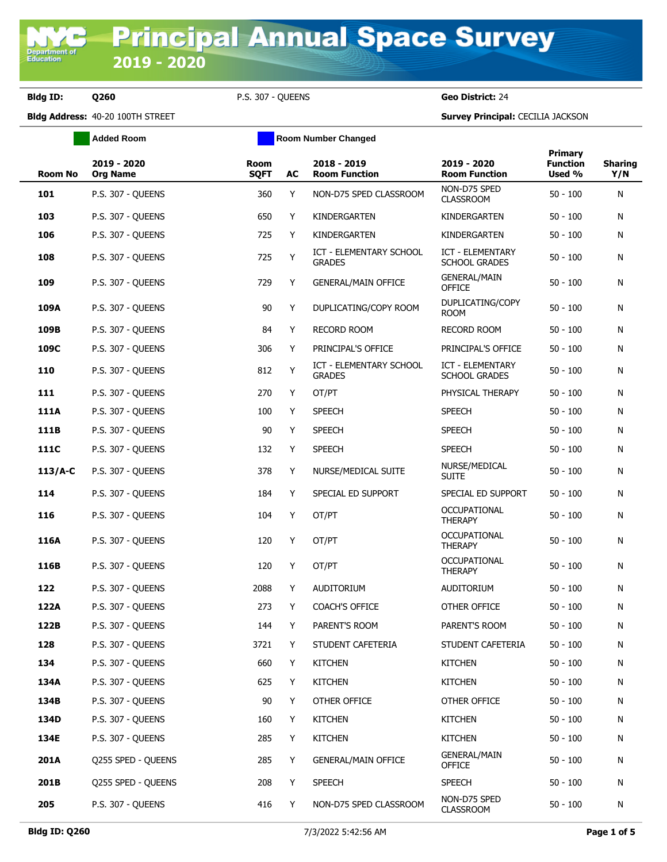**Department o**<br>Education

**Bldg ID: Q260** P.S. 307 - QUEENS **Geo District:** 24

|             | <b>Added Room</b>              | <b>Room Number Changed</b> |    |                                          |                                                 |                                             |                       |
|-------------|--------------------------------|----------------------------|----|------------------------------------------|-------------------------------------------------|---------------------------------------------|-----------------------|
| Room No     | 2019 - 2020<br><b>Org Name</b> | <b>Room</b><br><b>SQFT</b> | AC | 2018 - 2019<br><b>Room Function</b>      | 2019 - 2020<br><b>Room Function</b>             | <b>Primary</b><br><b>Function</b><br>Used % | <b>Sharing</b><br>Y/N |
| 101         | P.S. 307 - QUEENS              | 360                        | Y  | NON-D75 SPED CLASSROOM                   | NON-D75 SPED<br><b>CLASSROOM</b>                | $50 - 100$                                  | N                     |
| 103         | <b>P.S. 307 - QUEENS</b>       | 650                        | Y  | KINDERGARTEN                             | KINDERGARTEN                                    | $50 - 100$                                  | N                     |
| 106         | <b>P.S. 307 - QUEENS</b>       | 725                        | Y  | KINDERGARTEN                             | KINDERGARTEN                                    | $50 - 100$                                  | N                     |
| 108         | P.S. 307 - QUEENS              | 725                        | Υ  | ICT - ELEMENTARY SCHOOL<br><b>GRADES</b> | <b>ICT - ELEMENTARY</b><br><b>SCHOOL GRADES</b> | $50 - 100$                                  | N                     |
| 109         | <b>P.S. 307 - QUEENS</b>       | 729                        | Y  | <b>GENERAL/MAIN OFFICE</b>               | <b>GENERAL/MAIN</b><br><b>OFFICE</b>            | $50 - 100$                                  | N                     |
| 109A        | <b>P.S. 307 - QUEENS</b>       | 90                         | Y  | DUPLICATING/COPY ROOM                    | DUPLICATING/COPY<br>ROOM                        | $50 - 100$                                  | N                     |
| 109B        | P.S. 307 - QUEENS              | 84                         | Y  | <b>RECORD ROOM</b>                       | <b>RECORD ROOM</b>                              | $50 - 100$                                  | N                     |
| 109C        | <b>P.S. 307 - QUEENS</b>       | 306                        | Y  | PRINCIPAL'S OFFICE                       | PRINCIPAL'S OFFICE                              | $50 - 100$                                  | N                     |
| 110         | <b>P.S. 307 - OUEENS</b>       | 812                        | Y  | ICT - ELEMENTARY SCHOOL<br><b>GRADES</b> | <b>ICT - ELEMENTARY</b><br><b>SCHOOL GRADES</b> | $50 - 100$                                  | N                     |
| 111         | <b>P.S. 307 - QUEENS</b>       | 270                        | Y  | OT/PT                                    | PHYSICAL THERAPY                                | $50 - 100$                                  | N                     |
| 111A        | P.S. 307 - QUEENS              | 100                        | Y  | <b>SPEECH</b>                            | <b>SPEECH</b>                                   | $50 - 100$                                  | N                     |
| 111B        | <b>P.S. 307 - QUEENS</b>       | 90                         | Y  | <b>SPEECH</b>                            | <b>SPEECH</b>                                   | $50 - 100$                                  | N                     |
| <b>111C</b> | <b>P.S. 307 - QUEENS</b>       | 132                        | Y  | <b>SPEECH</b>                            | <b>SPEECH</b>                                   | $50 - 100$                                  | N                     |
| $113/A-C$   | <b>P.S. 307 - QUEENS</b>       | 378                        | Y  | NURSE/MEDICAL SUITE                      | NURSE/MEDICAL<br><b>SUITE</b>                   | $50 - 100$                                  | N                     |
| 114         | P.S. 307 - QUEENS              | 184                        | Y  | SPECIAL ED SUPPORT                       | SPECIAL ED SUPPORT                              | $50 - 100$                                  | N                     |
| 116         | <b>P.S. 307 - QUEENS</b>       | 104                        | Y  | OT/PT                                    | <b>OCCUPATIONAL</b><br><b>THERAPY</b>           | $50 - 100$                                  | N                     |
| 116A        | <b>P.S. 307 - QUEENS</b>       | 120                        | Y  | OT/PT                                    | <b>OCCUPATIONAL</b><br><b>THERAPY</b>           | $50 - 100$                                  | N                     |
| 116B        | <b>P.S. 307 - QUEENS</b>       | 120                        | Y  | OT/PT                                    | <b>OCCUPATIONAL</b><br><b>THERAPY</b>           | $50 - 100$                                  | N                     |
| 122         | <b>P.S. 307 - QUEENS</b>       | 2088                       | Y  | <b>AUDITORIUM</b>                        | <b>AUDITORIUM</b>                               | $50 - 100$                                  | N                     |
| 122A        | P.S. 307 - QUEENS              | 273                        | Y  | <b>COACH'S OFFICE</b>                    | OTHER OFFICE                                    | $50 - 100$                                  | N                     |
| 122B        | P.S. 307 - QUEENS              | 144                        | Y  | PARENT'S ROOM                            | PARENT'S ROOM                                   | $50 - 100$                                  | N                     |
| 128         | P.S. 307 - QUEENS              | 3721                       | Y  | STUDENT CAFETERIA                        | STUDENT CAFETERIA                               | $50 - 100$                                  | N                     |
| 134         | P.S. 307 - QUEENS              | 660                        | Y  | <b>KITCHEN</b>                           | <b>KITCHEN</b>                                  | $50 - 100$                                  | N                     |
| 134A        | P.S. 307 - QUEENS              | 625                        | Y  | <b>KITCHEN</b>                           | <b>KITCHEN</b>                                  | $50 - 100$                                  | N                     |
| 134B        | <b>P.S. 307 - QUEENS</b>       | 90                         | Y  | OTHER OFFICE                             | OTHER OFFICE                                    | $50 - 100$                                  | N                     |
| 134D        | <b>P.S. 307 - QUEENS</b>       | 160                        | Y  | <b>KITCHEN</b>                           | <b>KITCHEN</b>                                  | $50 - 100$                                  | N                     |
| 134E        | <b>P.S. 307 - QUEENS</b>       | 285                        | Y  | <b>KITCHEN</b>                           | <b>KITCHEN</b>                                  | $50 - 100$                                  | N                     |
| 201A        | Q255 SPED - QUEENS             | 285                        | Y  | <b>GENERAL/MAIN OFFICE</b>               | <b>GENERAL/MAIN</b><br><b>OFFICE</b>            | $50 - 100$                                  | N                     |
| 201B        | Q255 SPED - QUEENS             | 208                        | Y  | <b>SPEECH</b>                            | <b>SPEECH</b>                                   | $50 - 100$                                  | N                     |
| 205         | P.S. 307 - QUEENS              | 416                        | Y  | NON-D75 SPED CLASSROOM                   | NON-D75 SPED<br><b>CLASSROOM</b>                | $50 - 100$                                  | N                     |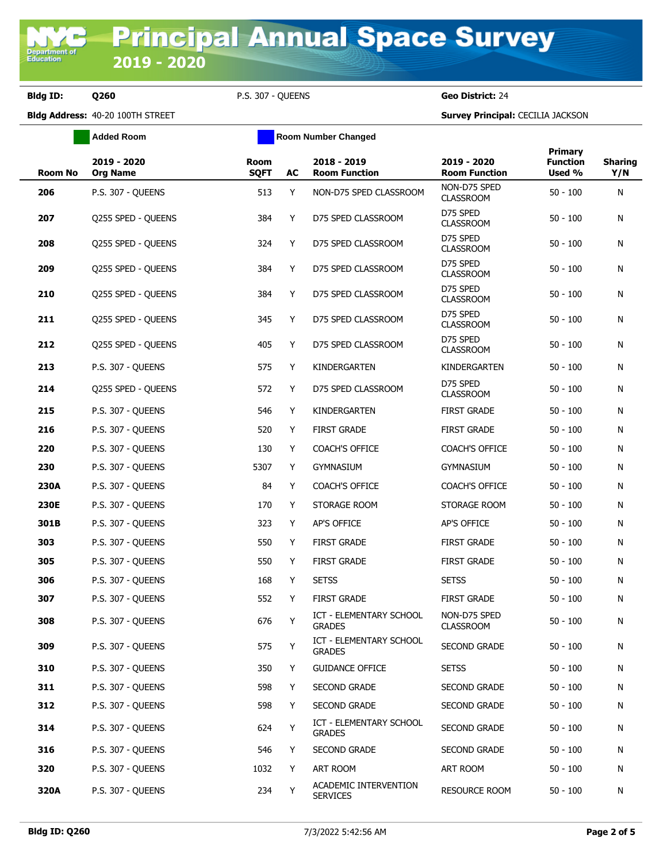**Added Room Room Room Number Changed** 

**Bldg ID: Q260** P.S. 307 - QUEENS **Geo District:** 24

| <b>Room No</b> | 2019 - 2020<br><b>Org Name</b> | Room<br><b>SQFT</b> | AC | 2018 - 2019<br><b>Room Function</b>      | 2019 - 2020<br><b>Room Function</b> | <b>Primary</b><br><b>Function</b><br>Used % | <b>Sharing</b><br>Y/N |
|----------------|--------------------------------|---------------------|----|------------------------------------------|-------------------------------------|---------------------------------------------|-----------------------|
| 206            | <b>P.S. 307 - QUEENS</b>       | 513                 | Y  | NON-D75 SPED CLASSROOM                   | NON-D75 SPED<br><b>CLASSROOM</b>    | $50 - 100$                                  | N                     |
| 207            | Q255 SPED - QUEENS             | 384                 | Y  | D75 SPED CLASSROOM                       | D75 SPED<br><b>CLASSROOM</b>        | $50 - 100$                                  | N                     |
| 208            | Q255 SPED - QUEENS             | 324                 | Y  | D75 SPED CLASSROOM                       | D75 SPED<br><b>CLASSROOM</b>        | $50 - 100$                                  | N                     |
| 209            | Q255 SPED - QUEENS             | 384                 | Y  | D75 SPED CLASSROOM                       | D75 SPED<br><b>CLASSROOM</b>        | $50 - 100$                                  | N                     |
| 210            | Q255 SPED - QUEENS             | 384                 | Y  | D75 SPED CLASSROOM                       | D75 SPED<br><b>CLASSROOM</b>        | $50 - 100$                                  | N                     |
| 211            | Q255 SPED - QUEENS             | 345                 | Y  | D75 SPED CLASSROOM                       | D75 SPED<br><b>CLASSROOM</b>        | $50 - 100$                                  | N                     |
| 212            | Q255 SPED - QUEENS             | 405                 | Y  | D75 SPED CLASSROOM                       | D75 SPED<br><b>CLASSROOM</b>        | $50 - 100$                                  | N                     |
| 213            | P.S. 307 - QUEENS              | 575                 | Y  | KINDERGARTEN                             | KINDERGARTEN                        | $50 - 100$                                  | N                     |
| 214            | Q255 SPED - QUEENS             | 572                 | Y  | D75 SPED CLASSROOM                       | D75 SPED<br><b>CLASSROOM</b>        | $50 - 100$                                  | N                     |
| 215            | P.S. 307 - QUEENS              | 546                 | Y  | KINDERGARTEN                             | <b>FIRST GRADE</b>                  | $50 - 100$                                  | N                     |
| 216            | P.S. 307 - OUEENS              | 520                 | Y  | <b>FIRST GRADE</b>                       | <b>FIRST GRADE</b>                  | $50 - 100$                                  | N                     |
| 220            | P.S. 307 - QUEENS              | 130                 | Y  | <b>COACH'S OFFICE</b>                    | <b>COACH'S OFFICE</b>               | $50 - 100$                                  | N                     |
| 230            | P.S. 307 - QUEENS              | 5307                | Y  | <b>GYMNASIUM</b>                         | <b>GYMNASIUM</b>                    | $50 - 100$                                  | N                     |
| 230A           | P.S. 307 - QUEENS              | 84                  | Y  | <b>COACH'S OFFICE</b>                    | <b>COACH'S OFFICE</b>               | $50 - 100$                                  | N                     |
| 230E           | P.S. 307 - QUEENS              | 170                 | Y  | STORAGE ROOM                             | STORAGE ROOM                        | $50 - 100$                                  | N                     |
| 301B           | P.S. 307 - QUEENS              | 323                 | Y  | AP'S OFFICE                              | AP'S OFFICE                         | $50 - 100$                                  | N                     |
| 303            | P.S. 307 - QUEENS              | 550                 | Y  | <b>FIRST GRADE</b>                       | <b>FIRST GRADE</b>                  | $50 - 100$                                  | N                     |
| 305            | P.S. 307 - QUEENS              | 550                 | Y  | <b>FIRST GRADE</b>                       | <b>FIRST GRADE</b>                  | $50 - 100$                                  | N                     |
| 306            | P.S. 307 - OUEENS              | 168                 | Y  | <b>SETSS</b>                             | <b>SETSS</b>                        | $50 - 100$                                  | N                     |
| 307            | P.S. 307 - OUEENS              | 552                 | Y  | <b>FIRST GRADE</b>                       | <b>FIRST GRADE</b>                  | $50 - 100$                                  | N                     |
| 308            | P.S. 307 - QUEENS              | 676                 | Y  | ICT - ELEMENTARY SCHOOL<br><b>GRADES</b> | NON-D75 SPED<br><b>CLASSROOM</b>    | $50 - 100$                                  | N                     |
| 309            | P.S. 307 - QUEENS              | 575                 | Y  | ICT - ELEMENTARY SCHOOL<br><b>GRADES</b> | SECOND GRADE                        | $50 - 100$                                  | Ν                     |
| 310            | P.S. 307 - QUEENS              | 350                 | Y  | <b>GUIDANCE OFFICE</b>                   | <b>SETSS</b>                        | $50 - 100$                                  | N                     |
| 311            | P.S. 307 - QUEENS              | 598                 | Y  | SECOND GRADE                             | SECOND GRADE                        | $50 - 100$                                  | Ν                     |
| 312            | P.S. 307 - QUEENS              | 598                 | Y  | <b>SECOND GRADE</b>                      | <b>SECOND GRADE</b>                 | $50 - 100$                                  | N                     |
| 314            | P.S. 307 - QUEENS              | 624                 | Y  | ICT - ELEMENTARY SCHOOL<br><b>GRADES</b> | SECOND GRADE                        | $50 - 100$                                  | Ν                     |
| 316            | P.S. 307 - OUEENS              | 546                 | Y  | <b>SECOND GRADE</b>                      | SECOND GRADE                        | $50 - 100$                                  | N                     |
| 320            | <b>P.S. 307 - QUEENS</b>       | 1032                | Y  | ART ROOM                                 | ART ROOM                            | $50 - 100$                                  | N                     |
| 320A           | <b>P.S. 307 - QUEENS</b>       | 234                 | Y  | ACADEMIC INTERVENTION<br><b>SERVICES</b> | <b>RESOURCE ROOM</b>                | $50 - 100$                                  | N                     |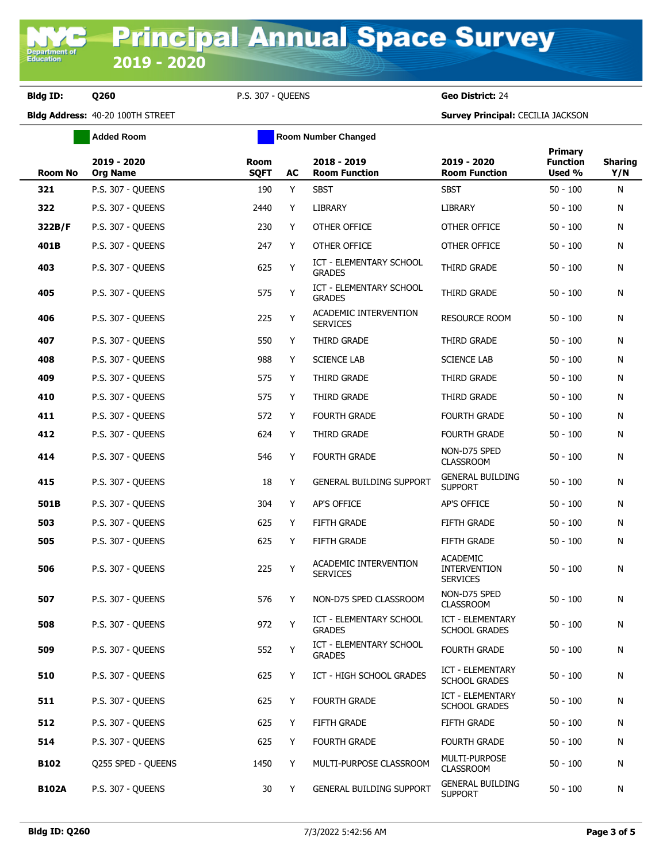**Added Room Room Room Number Changed** 

**Bldg ID: Q260** P.S. 307 - QUEENS **Geo District:** 24

| <b>Room No</b> | 2019 - 2020<br><b>Org Name</b> | Room<br><b>SQFT</b> | AC | 2018 - 2019<br><b>Room Function</b>             | 2019 - 2020<br><b>Room Function</b>                       | Primary<br><b>Function</b><br>Used % | <b>Sharing</b><br>Y/N |
|----------------|--------------------------------|---------------------|----|-------------------------------------------------|-----------------------------------------------------------|--------------------------------------|-----------------------|
| 321            | <b>P.S. 307 - QUEENS</b>       | 190                 | Y  | <b>SBST</b>                                     | <b>SBST</b>                                               | $50 - 100$                           | N                     |
| 322            | P.S. 307 - OUEENS              | 2440                | Y  | LIBRARY                                         | LIBRARY                                                   | $50 - 100$                           | N                     |
| 322B/F         | P.S. 307 - QUEENS              | 230                 | Y  | OTHER OFFICE                                    | OTHER OFFICE                                              | $50 - 100$                           | N                     |
| 401B           | P.S. 307 - QUEENS              | 247                 | Y  | OTHER OFFICE                                    | OTHER OFFICE                                              | $50 - 100$                           | N                     |
| 403            | P.S. 307 - QUEENS              | 625                 | Υ  | <b>ICT - ELEMENTARY SCHOOL</b><br><b>GRADES</b> | THIRD GRADE                                               | $50 - 100$                           | N                     |
| 405            | P.S. 307 - QUEENS              | 575                 | Υ  | <b>ICT - ELEMENTARY SCHOOL</b><br><b>GRADES</b> | THIRD GRADE                                               | $50 - 100$                           | N                     |
| 406            | P.S. 307 - QUEENS              | 225                 | Υ  | ACADEMIC INTERVENTION<br><b>SERVICES</b>        | <b>RESOURCE ROOM</b>                                      | $50 - 100$                           | N                     |
| 407            | P.S. 307 - QUEENS              | 550                 | Y  | THIRD GRADE                                     | THIRD GRADE                                               | $50 - 100$                           | N                     |
| 408            | P.S. 307 - QUEENS              | 988                 | Y  | <b>SCIENCE LAB</b>                              | <b>SCIENCE LAB</b>                                        | $50 - 100$                           | N                     |
| 409            | P.S. 307 - QUEENS              | 575                 | Y  | THIRD GRADE                                     | THIRD GRADE                                               | $50 - 100$                           | N                     |
| 410            | P.S. 307 - QUEENS              | 575                 | Y  | THIRD GRADE                                     | THIRD GRADE                                               | $50 - 100$                           | N                     |
| 411            | P.S. 307 - QUEENS              | 572                 | Y  | <b>FOURTH GRADE</b>                             | <b>FOURTH GRADE</b>                                       | $50 - 100$                           | N                     |
| 412            | P.S. 307 - QUEENS              | 624                 | Y  | THIRD GRADE                                     | <b>FOURTH GRADE</b>                                       | $50 - 100$                           | N                     |
| 414            | P.S. 307 - QUEENS              | 546                 | Y  | <b>FOURTH GRADE</b>                             | NON-D75 SPED<br><b>CLASSROOM</b>                          | $50 - 100$                           | N                     |
| 415            | P.S. 307 - QUEENS              | 18                  | Y  | <b>GENERAL BUILDING SUPPORT</b>                 | <b>GENERAL BUILDING</b><br><b>SUPPORT</b>                 | $50 - 100$                           | N                     |
| 501B           | P.S. 307 - QUEENS              | 304                 | Y  | AP'S OFFICE                                     | AP'S OFFICE                                               | $50 - 100$                           | N                     |
| 503            | P.S. 307 - QUEENS              | 625                 | Y  | FIFTH GRADE                                     | <b>FIFTH GRADE</b>                                        | $50 - 100$                           | N                     |
| 505            | P.S. 307 - QUEENS              | 625                 | Y  | <b>FIFTH GRADE</b>                              | <b>FIFTH GRADE</b>                                        | $50 - 100$                           | N                     |
| 506            | P.S. 307 - QUEENS              | 225                 | Υ  | ACADEMIC INTERVENTION<br><b>SERVICES</b>        | <b>ACADEMIC</b><br><b>INTERVENTION</b><br><b>SERVICES</b> | $50 - 100$                           | N                     |
| 507            | P.S. 307 - OUEENS              | 576                 | Y  | NON-D75 SPED CLASSROOM                          | NON-D75 SPED<br><b>CLASSROOM</b>                          | $50 - 100$                           | N                     |
| 508            | P.S. 307 - QUEENS              | 972                 | Υ  | <b>ICT - ELEMENTARY SCHOOL</b><br><b>GRADES</b> | ICT - ELEMENTARY<br><b>SCHOOL GRADES</b>                  | $50 - 100$                           | N                     |
| 509            | P.S. 307 - QUEENS              | 552                 | Y  | ICT - ELEMENTARY SCHOOL<br><b>GRADES</b>        | <b>FOURTH GRADE</b>                                       | $50 - 100$                           | N                     |
| 510            | <b>P.S. 307 - OUEENS</b>       | 625                 | Y  | ICT - HIGH SCHOOL GRADES                        | ICT - ELEMENTARY<br><b>SCHOOL GRADES</b>                  | $50 - 100$                           | N                     |
| 511            | P.S. 307 - QUEENS              | 625                 | Y  | FOURTH GRADE                                    | ICT - ELEMENTARY<br><b>SCHOOL GRADES</b>                  | $50 - 100$                           | N                     |
| 512            | P.S. 307 - QUEENS              | 625                 | Y  | FIFTH GRADE                                     | FIFTH GRADE                                               | $50 - 100$                           | N                     |
| 514            | P.S. 307 - QUEENS              | 625                 | Y  | FOURTH GRADE                                    | <b>FOURTH GRADE</b>                                       | $50 - 100$                           | N                     |
| <b>B102</b>    | Q255 SPED - QUEENS             | 1450                | Y  | MULTI-PURPOSE CLASSROOM                         | MULTI-PURPOSE<br><b>CLASSROOM</b>                         | $50 - 100$                           | N                     |
| <b>B102A</b>   | <b>P.S. 307 - QUEENS</b>       | 30                  | Y  | GENERAL BUILDING SUPPORT                        | <b>GENERAL BUILDING</b><br><b>SUPPORT</b>                 | $50 - 100$                           | N                     |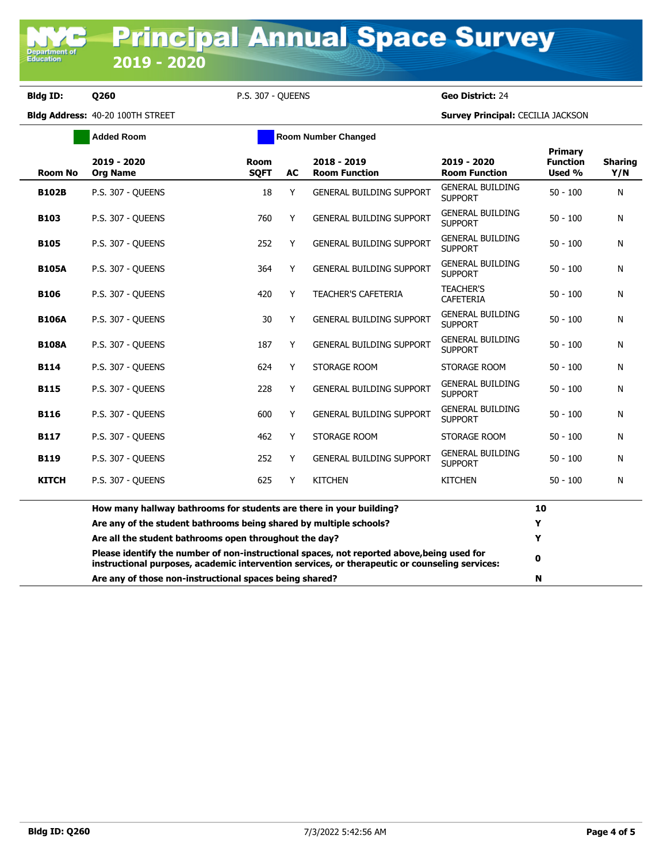Department<br>Education

**Bldg ID: Q260** P.S. 307 - QUEENS **Geo District:** 24

|                | <b>Added Room</b>                                                                                                                                                                            |                            | <b>Room Number Changed</b> |                                     |                                           |                                      |                       |
|----------------|----------------------------------------------------------------------------------------------------------------------------------------------------------------------------------------------|----------------------------|----------------------------|-------------------------------------|-------------------------------------------|--------------------------------------|-----------------------|
| <b>Room No</b> | 2019 - 2020<br><b>Org Name</b>                                                                                                                                                               | <b>Room</b><br><b>SQFT</b> | <b>AC</b>                  | 2018 - 2019<br><b>Room Function</b> | 2019 - 2020<br><b>Room Function</b>       | Primary<br><b>Function</b><br>Used % | <b>Sharing</b><br>Y/N |
| <b>B102B</b>   | P.S. 307 - OUEENS                                                                                                                                                                            | 18                         | Y                          | <b>GENERAL BUILDING SUPPORT</b>     | <b>GENERAL BUILDING</b><br><b>SUPPORT</b> | $50 - 100$                           | N                     |
| <b>B103</b>    | P.S. 307 - QUEENS                                                                                                                                                                            | 760                        | Y                          | <b>GENERAL BUILDING SUPPORT</b>     | <b>GENERAL BUILDING</b><br><b>SUPPORT</b> | $50 - 100$                           | N                     |
| <b>B105</b>    | P.S. 307 - OUEENS                                                                                                                                                                            | 252                        | Y                          | <b>GENERAL BUILDING SUPPORT</b>     | <b>GENERAL BUILDING</b><br><b>SUPPORT</b> | $50 - 100$                           | N                     |
| <b>B105A</b>   | <b>P.S. 307 - OUEENS</b>                                                                                                                                                                     | 364                        | Y                          | <b>GENERAL BUILDING SUPPORT</b>     | <b>GENERAL BUILDING</b><br><b>SUPPORT</b> | $50 - 100$                           | N                     |
| <b>B106</b>    | P.S. 307 - QUEENS                                                                                                                                                                            | 420                        | Y                          | <b>TEACHER'S CAFETERIA</b>          | <b>TEACHER'S</b><br><b>CAFETERIA</b>      | $50 - 100$                           | N                     |
| <b>B106A</b>   | P.S. 307 - OUEENS                                                                                                                                                                            | 30                         | Y                          | <b>GENERAL BUILDING SUPPORT</b>     | <b>GENERAL BUILDING</b><br><b>SUPPORT</b> | $50 - 100$                           | N                     |
| <b>B108A</b>   | P.S. 307 - OUEENS                                                                                                                                                                            | 187                        | Y                          | <b>GENERAL BUILDING SUPPORT</b>     | <b>GENERAL BUILDING</b><br><b>SUPPORT</b> | $50 - 100$                           | N                     |
| <b>B114</b>    | <b>P.S. 307 - OUEENS</b>                                                                                                                                                                     | 624                        | Y                          | STORAGE ROOM                        | STORAGE ROOM                              | $50 - 100$                           | N                     |
| <b>B115</b>    | P.S. 307 - OUEENS                                                                                                                                                                            | 228                        | Y                          | <b>GENERAL BUILDING SUPPORT</b>     | <b>GENERAL BUILDING</b><br><b>SUPPORT</b> | $50 - 100$                           | N                     |
| <b>B116</b>    | <b>P.S. 307 - OUEENS</b>                                                                                                                                                                     | 600                        | Y                          | <b>GENERAL BUILDING SUPPORT</b>     | <b>GENERAL BUILDING</b><br><b>SUPPORT</b> | $50 - 100$                           | Ν                     |
| <b>B117</b>    | P.S. 307 - OUEENS                                                                                                                                                                            | 462                        | Y                          | STORAGE ROOM                        | STORAGE ROOM                              | 50 - 100                             | N                     |
| <b>B119</b>    | P.S. 307 - OUEENS                                                                                                                                                                            | 252                        | Y                          | <b>GENERAL BUILDING SUPPORT</b>     | <b>GENERAL BUILDING</b><br><b>SUPPORT</b> | $50 - 100$                           | Ν                     |
| <b>KITCH</b>   | P.S. 307 - OUEENS                                                                                                                                                                            | 625                        | Y                          | <b>KITCHEN</b>                      | <b>KITCHEN</b>                            | $50 - 100$                           | N                     |
|                | How many hallway bathrooms for students are there in your building?                                                                                                                          |                            |                            |                                     |                                           | 10                                   |                       |
|                | Are any of the student bathrooms being shared by multiple schools?                                                                                                                           |                            |                            |                                     |                                           |                                      |                       |
|                | Are all the student bathrooms open throughout the day?                                                                                                                                       |                            |                            |                                     |                                           |                                      |                       |
|                | Please identify the number of non-instructional spaces, not reported above, being used for<br>instructional purposes, academic intervention services, or therapeutic or counseling services: |                            |                            |                                     |                                           |                                      |                       |
|                | Are any of those non-instructional spaces being shared?                                                                                                                                      |                            |                            |                                     |                                           |                                      |                       |